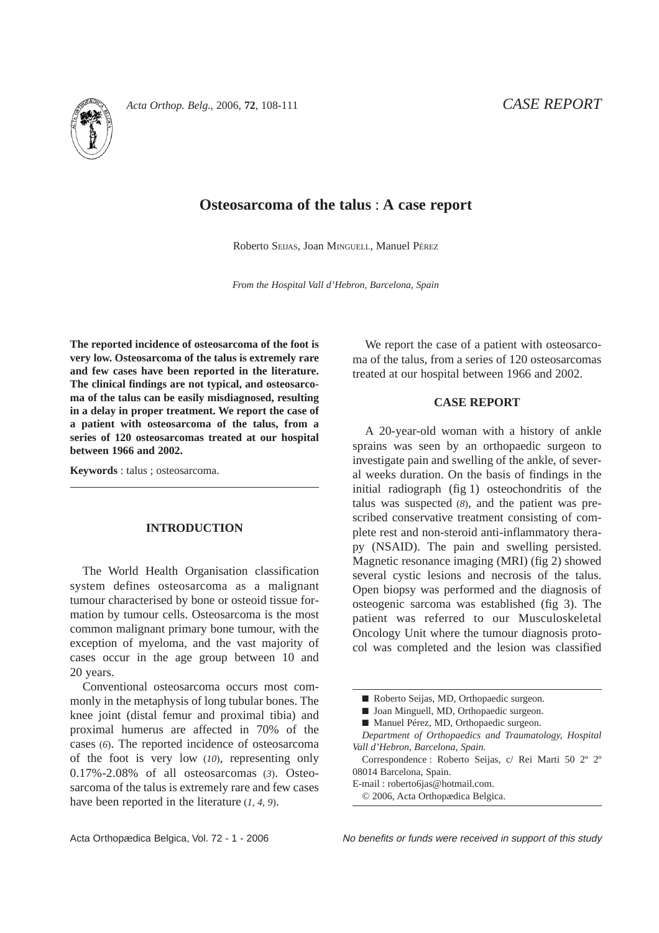

# **Osteosarcoma of the talus** : **A case report**

Roberto SEIJAS, Joan MINGUELL, Manuel PÉREZ

*From the Hospital Vall d'Hebron, Barcelona, Spain*

**The reported incidence of osteosarcoma of the foot is very low. Osteosarcoma of the talus is extremely rare and few cases have been reported in the literature. The clinical findings are not typical, and osteosarcoma of the talus can be easily misdiagnosed, resulting in a delay in proper treatment. We report the case of a patient with osteosarcoma of the talus, from a series of 120 osteosarcomas treated at our hospital between 1966 and 2002.**

**Keywords** : talus ; osteosarcoma.

## **INTRODUCTION**

The World Health Organisation classification system defines osteosarcoma as a malignant tumour characterised by bone or osteoid tissue formation by tumour cells. Osteosarcoma is the most common malignant primary bone tumour, with the exception of myeloma, and the vast majority of cases occur in the age group between 10 and 20 years.

Conventional osteosarcoma occurs most commonly in the metaphysis of long tubular bones. The knee joint (distal femur and proximal tibia) and proximal humerus are affected in 70% of the cases (*6*). The reported incidence of osteosarcoma of the foot is very low (*10*), representing only 0.17%-2.08% of all osteosarcomas (*3*). Osteosarcoma of the talus is extremely rare and few cases have been reported in the literature (*1, 4, 9*).

We report the case of a patient with osteosarcoma of the talus, from a series of 120 osteosarcomas treated at our hospital between 1966 and 2002.

### **CASE REPORT**

A 20-year-old woman with a history of ankle sprains was seen by an orthopaedic surgeon to investigate pain and swelling of the ankle, of several weeks duration. On the basis of findings in the initial radiograph (fig 1) osteochondritis of the talus was suspected (*8*), and the patient was prescribed conservative treatment consisting of complete rest and non-steroid anti-inflammatory therapy (NSAID). The pain and swelling persisted. Magnetic resonance imaging (MRI) (fig 2) showed several cystic lesions and necrosis of the talus. Open biopsy was performed and the diagnosis of osteogenic sarcoma was established (fig 3). The patient was referred to our Musculoskeletal Oncology Unit where the tumour diagnosis protocol was completed and the lesion was classified

Correspondence : Roberto Seijas, c/ Rei Marti 50 2º 2º 08014 Barcelona, Spain.

E-mail : roberto6jas@hotmail.com.

Acta Orthopædica Belgica, Vol. 72 - 1 - 2006 No benefits or funds were received in support of this study

<sup>■</sup> Roberto Seijas, MD, Orthopaedic surgeon.

<sup>■</sup> Joan Minguell, MD, Orthopaedic surgeon.

<sup>■</sup> Manuel Pérez, MD, Orthopaedic surgeon.

*Department of Orthopaedics and Traumatology, Hospital Vall d'Hebron, Barcelona, Spain.*

<sup>© 2006,</sup> Acta Orthopædica Belgica.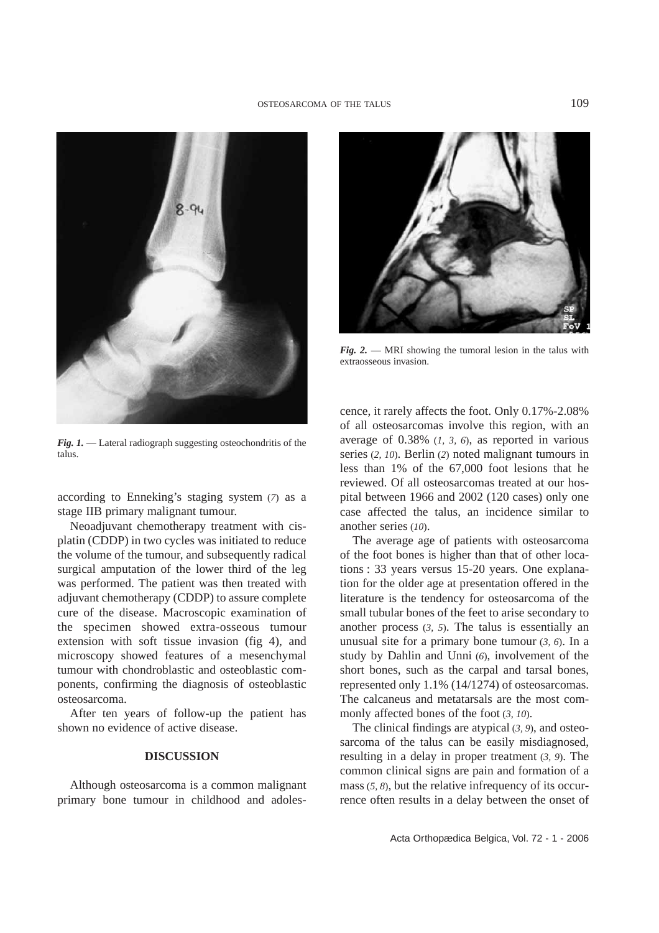

*Fig. 2.* — MRI showing the tumoral lesion in the talus with extraosseous invasion.

*Fig. 1.* — Lateral radiograph suggesting osteochondritis of the talus.

according to Enneking's staging system (*7*) as a stage IIB primary malignant tumour.

Neoadjuvant chemotherapy treatment with cisplatin (CDDP) in two cycles was initiated to reduce the volume of the tumour, and subsequently radical surgical amputation of the lower third of the leg was performed. The patient was then treated with adjuvant chemotherapy (CDDP) to assure complete cure of the disease. Macroscopic examination of the specimen showed extra-osseous tumour extension with soft tissue invasion (fig 4), and microscopy showed features of a mesenchymal tumour with chondroblastic and osteoblastic components, confirming the diagnosis of osteoblastic osteosarcoma.

After ten years of follow-up the patient has shown no evidence of active disease.

#### **DISCUSSION**

Although osteosarcoma is a common malignant primary bone tumour in childhood and adolescence, it rarely affects the foot. Only 0.17%-2.08% of all osteosarcomas involve this region, with an average of 0.38% (*1, 3, 6*), as reported in various series (*2, 10*). Berlin (*2*) noted malignant tumours in less than 1% of the 67,000 foot lesions that he reviewed. Of all osteosarcomas treated at our hospital between 1966 and 2002 (120 cases) only one case affected the talus, an incidence similar to another series (*10*).

The average age of patients with osteosarcoma of the foot bones is higher than that of other locations : 33 years versus 15-20 years. One explanation for the older age at presentation offered in the literature is the tendency for osteosarcoma of the small tubular bones of the feet to arise secondary to another process (*3, 5*). The talus is essentially an unusual site for a primary bone tumour (*3, 6*). In a study by Dahlin and Unni (*6*), involvement of the short bones, such as the carpal and tarsal bones, represented only 1.1% (14/1274) of osteosarcomas. The calcaneus and metatarsals are the most commonly affected bones of the foot (*3, 10*).

The clinical findings are atypical (*3, 9*), and osteosarcoma of the talus can be easily misdiagnosed, resulting in a delay in proper treatment (*3, 9*). The common clinical signs are pain and formation of a mass (*5, 8*), but the relative infrequency of its occurrence often results in a delay between the onset of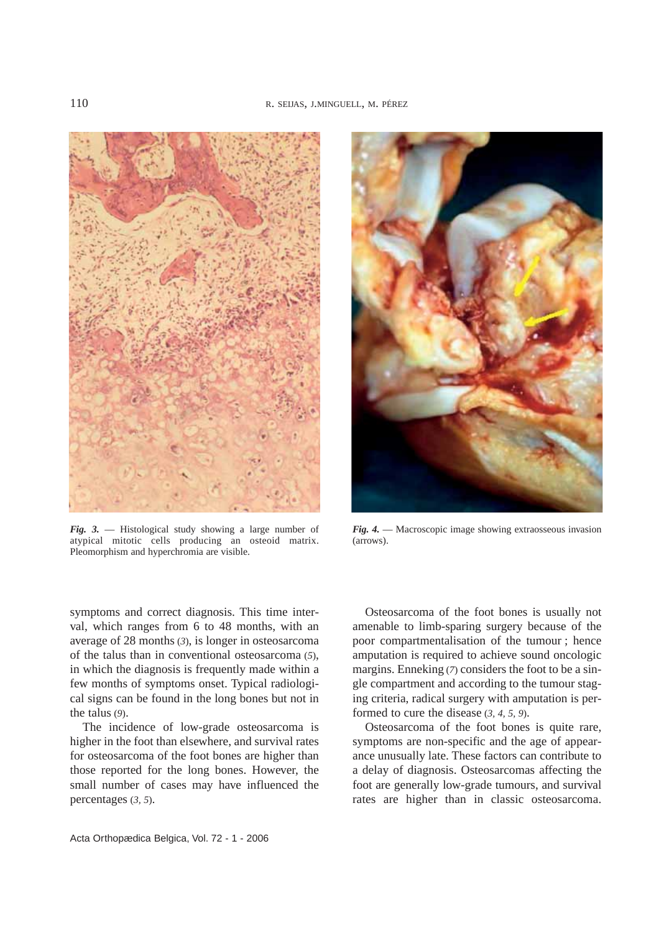

*Fig. 3.* — Histological study showing a large number of atypical mitotic cells producing an osteoid matrix. Pleomorphism and hyperchromia are visible.



*Fig. 4.* — Macroscopic image showing extraosseous invasion (arrows).

symptoms and correct diagnosis. This time interval, which ranges from 6 to 48 months, with an average of 28 months (*3*), is longer in osteosarcoma of the talus than in conventional osteosarcoma (*5*), in which the diagnosis is frequently made within a few months of symptoms onset. Typical radiological signs can be found in the long bones but not in the talus (*9*).

The incidence of low-grade osteosarcoma is higher in the foot than elsewhere, and survival rates for osteosarcoma of the foot bones are higher than those reported for the long bones. However, the small number of cases may have influenced the percentages (*3, 5*).

Osteosarcoma of the foot bones is usually not amenable to limb-sparing surgery because of the poor compartmentalisation of the tumour ; hence amputation is required to achieve sound oncologic margins. Enneking (*7*) considers the foot to be a single compartment and according to the tumour staging criteria, radical surgery with amputation is performed to cure the disease (*3, 4, 5, 9*).

Osteosarcoma of the foot bones is quite rare, symptoms are non-specific and the age of appearance unusually late. These factors can contribute to a delay of diagnosis. Osteosarcomas affecting the foot are generally low-grade tumours, and survival rates are higher than in classic osteosarcoma.